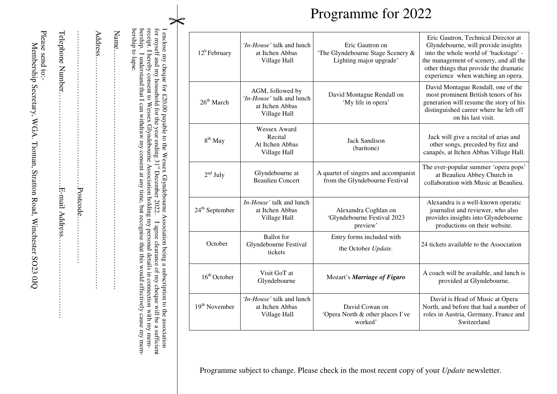|                               | receipt. I hereby consent to Wessex Glyndebourne Association holding my personal details in connection with my mem-<br>for myself and my household for the year ending 3<br>I enclose my cheque for £20.00 payable to the Wessex Glyndebourne Association being a subscription to the association<br>bership to lapse<br>bership.<br>Name.<br>Address. | $12^h$ February            | <i>In-House</i> ' talk and lunch<br>at Itchen Abbas<br>Village Hall              | Eric Gautron on<br>'The Glyndebourne Stage Scenery &<br>Lighting major upgrade' | Eric Gautron, Technical Director at<br>Glyndebourne, will provide insights<br>into the whole world of 'backstage' -<br>the management of scenery, and all the<br>other things that provide the dramatic<br>experience when watching an opera. |
|-------------------------------|--------------------------------------------------------------------------------------------------------------------------------------------------------------------------------------------------------------------------------------------------------------------------------------------------------------------------------------------------------|----------------------------|----------------------------------------------------------------------------------|---------------------------------------------------------------------------------|-----------------------------------------------------------------------------------------------------------------------------------------------------------------------------------------------------------------------------------------------|
|                               | I understand that I can withdraw my consent at any time, but recognise that this would effectively cause my mem-                                                                                                                                                                                                                                       | $26^{\text{th}}$ March     | AGM, followed by<br>'In-House' talk and lunch<br>at Itchen Abbas<br>Village Hall | David Montague Rendall on<br>'My life in opera'                                 | David Montague Rendall, one of the<br>most prominent British tenors of his<br>generation will resume the story of his<br>distinguished career where he left off<br>on his last visit.                                                         |
|                               |                                                                                                                                                                                                                                                                                                                                                        | 8 <sup>th</sup> May        | Wessex Award<br>Recital<br>At Itchen Abbas<br>Village Hall                       | <b>Jack Sandison</b><br>(baritone)                                              | Jack will give a recital of arias and<br>other songs, preceded by fizz and<br>canapés, at Itchen Abbas Village Hall.                                                                                                                          |
|                               | $1^{st}$ December 2022                                                                                                                                                                                                                                                                                                                                 | $2nd$ July                 | Glyndebourne at<br><b>Beaulieu Concert</b>                                       | A quartet of singers and accompanist<br>from the Glyndebourne Festival          | The ever-popular summer 'opera pops'<br>at Beaulieu Abbey Church in<br>collaboration with Music at Beaulieu.                                                                                                                                  |
| .Postcode.<br>E-mail Address. |                                                                                                                                                                                                                                                                                                                                                        | $24^{\text{th}}$ September | In-House' talk and lunch<br>at Itchen Abbas<br>Village Hall                      | Alexandra Coghlan on<br>'Glyndebourne Festival 2023<br>preview'                 | Alexandra is a well-known operatic<br>journalist and reviewer, who also<br>provides insights into Glyndebourne<br>productions on their website.                                                                                               |
|                               |                                                                                                                                                                                                                                                                                                                                                        | October                    | <b>Ballot</b> for<br>Glyndebourne Festival<br>tickets                            | Entry forms included with<br>the October Update.                                | 24 tickets available to the Association                                                                                                                                                                                                       |
|                               |                                                                                                                                                                                                                                                                                                                                                        | $16th$ October             | Visit GoT at<br>Glyndebourne                                                     | Mozart's Marriage of Figaro                                                     | A coach will be available, and lunch is<br>provided at Glyndebourne.                                                                                                                                                                          |
|                               | I agree clearance of my cheque will be a sufficient                                                                                                                                                                                                                                                                                                    | 19 <sup>th</sup> November  | 'In-House' talk and lunch<br>at Itchen Abbas<br>Village Hall                     | David Cowan on<br>'Opera North & other places I've<br>worked'                   | David is Head of Music at Opera<br>North, and before that had a number of<br>roles in Austria, Germany, France and<br>Switzerland                                                                                                             |

Membership Secretary, WGA. Tioman, Stratton

Road, Winchester SO23 0JQ

Please send to:-

Programme subject to change. Please check in the most recent copy of your *Update* newsletter.

Programme for 2022